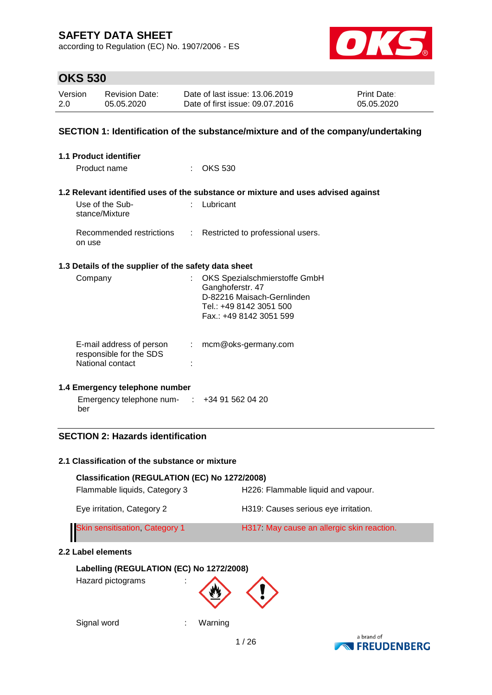according to Regulation (EC) No. 1907/2006 - ES



# **OKS 530**

| Version | Revision Date: | Date of last issue: 13.06.2019  | <b>Print Date:</b> |
|---------|----------------|---------------------------------|--------------------|
| 2.0     | 05.05.2020     | Date of first issue: 09.07.2016 | 05.05.2020         |

### **SECTION 1: Identification of the substance/mixture and of the company/undertaking**

| <b>1.1 Product identifier</b>                                           |                            |                                                                                                                                       |
|-------------------------------------------------------------------------|----------------------------|---------------------------------------------------------------------------------------------------------------------------------------|
| Product name                                                            |                            | $\therefore$ OKS 530                                                                                                                  |
|                                                                         |                            | 1.2 Relevant identified uses of the substance or mixture and uses advised against                                                     |
| Use of the Sub-<br>stance/Mixture                                       |                            | Lubricant                                                                                                                             |
| Recommended restrictions<br>on use                                      | $\mathcal{L}^{\text{max}}$ | Restricted to professional users.                                                                                                     |
| 1.3 Details of the supplier of the safety data sheet                    |                            |                                                                                                                                       |
| Company                                                                 |                            | OKS Spezialschmierstoffe GmbH<br>Ganghoferstr. 47<br>D-82216 Maisach-Gernlinden<br>Tel.: +49 8142 3051 500<br>Fax.: +49 8142 3051 599 |
| E-mail address of person<br>responsible for the SDS<br>National contact |                            | $:$ mcm@oks-germany.com                                                                                                               |
| 1.4 Emergency telephone number                                          |                            |                                                                                                                                       |
| Emergency telephone num- $\therefore$ +34 91 562 04 20<br>ber           |                            |                                                                                                                                       |

### **SECTION 2: Hazards identification**

#### **2.1 Classification of the substance or mixture**

| Classification (REGULATION (EC) No 1272/2008) |                                           |  |  |  |  |  |
|-----------------------------------------------|-------------------------------------------|--|--|--|--|--|
| Flammable liquids, Category 3                 | H226: Flammable liquid and vapour.        |  |  |  |  |  |
| Eye irritation, Category 2                    | H319: Causes serious eye irritation.      |  |  |  |  |  |
| <b>Skin sensitisation, Category 1</b>         | H317 May cause an allergic skin reaction. |  |  |  |  |  |
| Label elements                                |                                           |  |  |  |  |  |

### **Labelling (REGULATION (EC) No 1272/2008)** Hazard pictograms :



Signal word **: Warning** 

 $2.2$ 

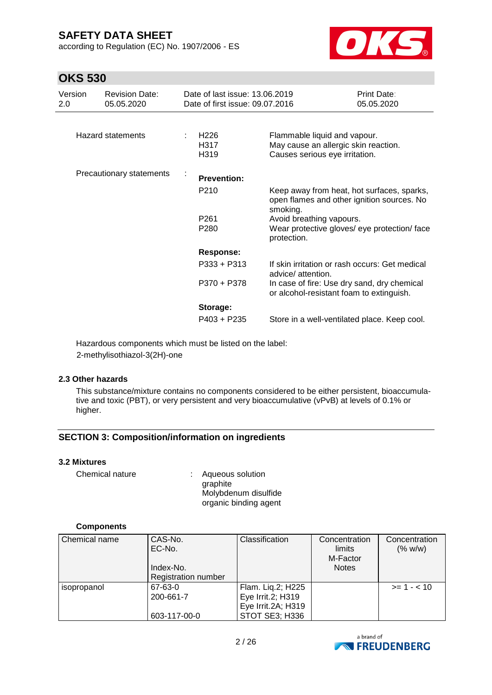according to Regulation (EC) No. 1907/2006 - ES



## **OKS 530**

| Version<br>2.0 | <b>Revision Date:</b><br>05.05.2020 |   | Date of last issue: 13.06.2019<br>Date of first issue: 09.07.2016 |                                                                                                        | Print Date:<br>05.05.2020 |
|----------------|-------------------------------------|---|-------------------------------------------------------------------|--------------------------------------------------------------------------------------------------------|---------------------------|
|                | <b>Hazard statements</b>            | ÷ | H <sub>226</sub><br>H317<br>H319                                  | Flammable liquid and vapour.<br>May cause an allergic skin reaction.<br>Causes serious eye irritation. |                           |
|                | Precautionary statements            | ÷ | <b>Prevention:</b>                                                |                                                                                                        |                           |
|                |                                     |   | P <sub>210</sub>                                                  | Keep away from heat, hot surfaces, sparks,<br>open flames and other ignition sources. No<br>smoking.   |                           |
|                |                                     |   | P <sub>261</sub><br>P280                                          | Avoid breathing vapours.<br>Wear protective gloves/ eye protection/ face<br>protection.                |                           |
|                |                                     |   | <b>Response:</b>                                                  |                                                                                                        |                           |
|                |                                     |   | $P333 + P313$                                                     | If skin irritation or rash occurs: Get medical<br>advice/ attention.                                   |                           |
|                |                                     |   | P370 + P378                                                       | In case of fire: Use dry sand, dry chemical<br>or alcohol-resistant foam to extinguish.                |                           |
|                |                                     |   | Storage:                                                          |                                                                                                        |                           |
|                |                                     |   | $P403 + P235$                                                     | Store in a well-ventilated place. Keep cool.                                                           |                           |

Hazardous components which must be listed on the label: 2-methylisothiazol-3(2H)-one

#### **2.3 Other hazards**

This substance/mixture contains no components considered to be either persistent, bioaccumulative and toxic (PBT), or very persistent and very bioaccumulative (vPvB) at levels of 0.1% or higher.

### **SECTION 3: Composition/information on ingredients**

### **3.2 Mixtures**

Chemical nature : Aqueous solution graphite Molybdenum disulfide organic binding agent

#### **Components**

| Chemical name | CAS-No.                    | Classification     | Concentration | Concentration |
|---------------|----------------------------|--------------------|---------------|---------------|
|               | EC-No.                     |                    | limits        | (% w/w)       |
|               |                            |                    | M-Factor      |               |
|               | Index-No.                  |                    | <b>Notes</b>  |               |
|               | <b>Registration number</b> |                    |               |               |
| isopropanol   | 67-63-0                    | Flam. Lig.2; H225  |               | $>= 1 - 10$   |
|               | 200-661-7                  | Eye Irrit.2; H319  |               |               |
|               |                            | Eye Irrit.2A; H319 |               |               |
|               | 603-117-00-0               | STOT SE3; H336     |               |               |

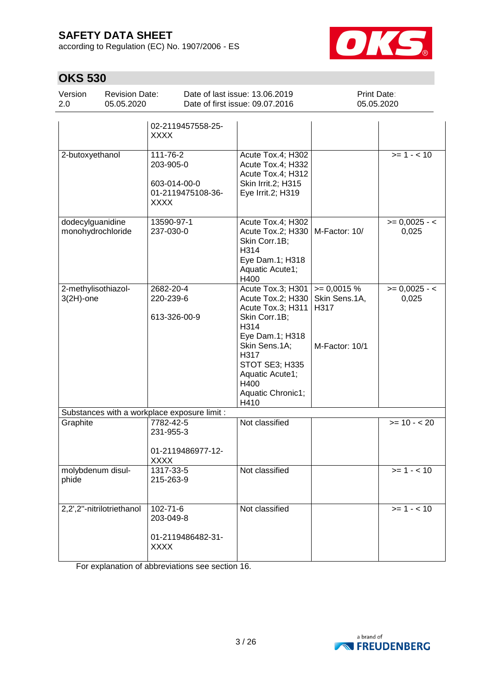according to Regulation (EC) No. 1907/2006 - ES



# **OKS 530**

| Date of last issue: 13.06.2019<br>Version<br><b>Print Date:</b><br>Revision Date:<br>Date of first issue: 09.07.2016<br>- 2.0<br>05.05.2020<br>05.05.2020 |  |
|-----------------------------------------------------------------------------------------------------------------------------------------------------------|--|
|-----------------------------------------------------------------------------------------------------------------------------------------------------------|--|

|                                              | 02-2119457558-25-<br><b>XXXX</b>                                          |                                                                                                                                                                                                            |                                                        |                                               |
|----------------------------------------------|---------------------------------------------------------------------------|------------------------------------------------------------------------------------------------------------------------------------------------------------------------------------------------------------|--------------------------------------------------------|-----------------------------------------------|
| 2-butoxyethanol                              | 111-76-2<br>203-905-0<br>603-014-00-0<br>01-2119475108-36-<br><b>XXXX</b> | Acute Tox.4; H302<br>Acute Tox.4; H332<br>Acute Tox.4; H312<br>Skin Irrit.2; H315<br>Eye Irrit.2; H319                                                                                                     |                                                        | $>= 1 - 10$                                   |
| dodecylguanidine<br>monohydrochloride        | 13590-97-1<br>237-030-0                                                   | Acute Tox.4; H302<br>Acute Tox.2; H330<br>Skin Corr.1B;<br>H314<br>Eye Dam.1; H318<br>Aquatic Acute1;<br>H400                                                                                              | M-Factor: 10/                                          | $= 0,0025 - 5$<br>0,025                       |
| 2-methylisothiazol-<br>$3(2H)$ -one          | 2682-20-4<br>220-239-6<br>613-326-00-9                                    | Acute Tox.3; H301<br>Acute Tox.2; H330<br>Acute Tox.3; H311<br>Skin Corr.1B;<br>H314<br>Eye Dam.1; H318<br>Skin Sens.1A;<br>H317<br>STOT SE3; H335<br>Aquatic Acute1;<br>H400<br>Aquatic Chronic1;<br>H410 | $= 0,0015%$<br>Skin Sens.1A,<br>H317<br>M-Factor: 10/1 | $>= 0,0025 - 5$<br>0,025                      |
| Substances with a workplace exposure limit : |                                                                           |                                                                                                                                                                                                            |                                                        |                                               |
| Graphite                                     | 7782-42-5<br>231-955-3<br>01-2119486977-12-<br><b>XXXX</b>                | Not classified                                                                                                                                                                                             |                                                        | $\overline{\smash{\big)}\xspace} = 10 - 5.20$ |
| molybdenum disul-<br>phide                   | 1317-33-5<br>215-263-9                                                    | Not classified                                                                                                                                                                                             |                                                        | $>= 1 - 10$                                   |
| 2,2',2"-nitrilotriethanol                    | 102-71-6<br>203-049-8<br>01-2119486482-31-<br><b>XXXX</b>                 | Not classified                                                                                                                                                                                             |                                                        | $>= 1 - 10$                                   |

For explanation of abbreviations see section 16.

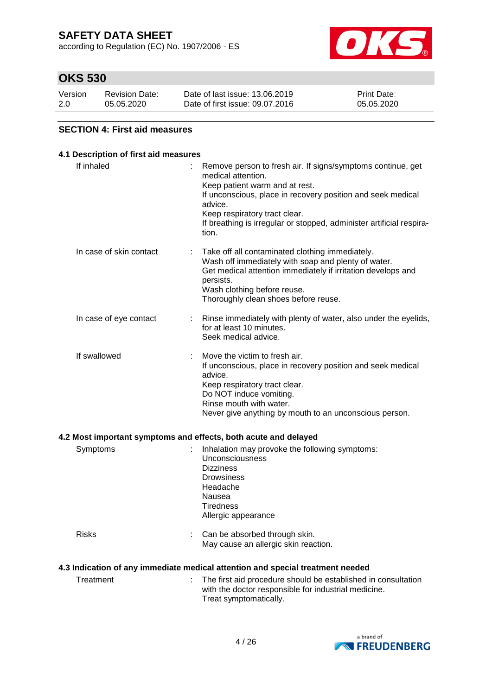according to Regulation (EC) No. 1907/2006 - ES



## **OKS 530**

| Version | Revision Date: | Date of last issue: 13.06.2019  | <b>Print Date:</b> |
|---------|----------------|---------------------------------|--------------------|
| 2.0     | 05.05.2020     | Date of first issue: 09.07.2016 | 05.05.2020         |

#### **SECTION 4: First aid measures**

### **4.1 Description of first aid measures** If inhaled : Remove person to fresh air. If signs/symptoms continue, get medical attention. Keep patient warm and at rest. If unconscious, place in recovery position and seek medical advice. Keep respiratory tract clear. If breathing is irregular or stopped, administer artificial respiration. In case of skin contact : Take off all contaminated clothing immediately. Wash off immediately with soap and plenty of water. Get medical attention immediately if irritation develops and persists. Wash clothing before reuse. Thoroughly clean shoes before reuse. In case of eye contact : Rinse immediately with plenty of water, also under the eyelids, for at least 10 minutes. Seek medical advice. If swallowed : Move the victim to fresh air. If unconscious, place in recovery position and seek medical advice. Keep respiratory tract clear. Do NOT induce vomiting. Rinse mouth with water. Never give anything by mouth to an unconscious person. **4.2 Most important symptoms and effects, both acute and delayed** Symptoms : Inhalation may provoke the following symptoms: Unconsciousness Dizziness **Drowsiness** Headache Nausea **Tiredness** Allergic appearance Risks : Can be absorbed through skin. May cause an allergic skin reaction. **4.3 Indication of any immediate medical attention and special treatment needed** Treatment : The first aid procedure should be established in consultation with the doctor responsible for industrial medicine. Treat symptomatically.

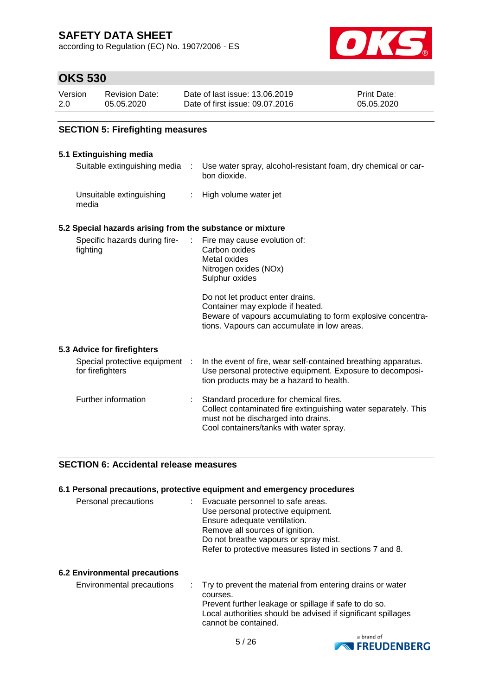according to Regulation (EC) No. 1907/2006 - ES



### **OKS 530**

| Version | <b>Revision Date:</b> | Date of last issue: 13.06.2019  | <b>Print Date:</b> |
|---------|-----------------------|---------------------------------|--------------------|
| 2.0     | 05.05.2020            | Date of first issue: 09.07.2016 | 05.05.2020         |

### **SECTION 5: Firefighting measures**

## **5.1 Extinguishing media**

| 5.1 Extinguishing media                                   |    |                                                                                                                                                                                                                                                                                                |
|-----------------------------------------------------------|----|------------------------------------------------------------------------------------------------------------------------------------------------------------------------------------------------------------------------------------------------------------------------------------------------|
| Suitable extinguishing media                              | ÷. | Use water spray, alcohol-resistant foam, dry chemical or car-<br>bon dioxide.                                                                                                                                                                                                                  |
| Unsuitable extinguishing<br>media                         |    | High volume water jet                                                                                                                                                                                                                                                                          |
| 5.2 Special hazards arising from the substance or mixture |    |                                                                                                                                                                                                                                                                                                |
| Specific hazards during fire-<br>fighting                 | t. | Fire may cause evolution of:<br>Carbon oxides<br>Metal oxides<br>Nitrogen oxides (NOx)<br>Sulphur oxides<br>Do not let product enter drains.<br>Container may explode if heated.<br>Beware of vapours accumulating to form explosive concentra-<br>tions. Vapours can accumulate in low areas. |
| 5.3 Advice for firefighters                               |    |                                                                                                                                                                                                                                                                                                |
| Special protective equipment :<br>for firefighters        |    | In the event of fire, wear self-contained breathing apparatus.<br>Use personal protective equipment. Exposure to decomposi-<br>tion products may be a hazard to health.                                                                                                                        |
| Further information                                       |    | Standard procedure for chemical fires.<br>Collect contaminated fire extinguishing water separately. This<br>must not be discharged into drains.<br>Cool containers/tanks with water spray.                                                                                                     |

#### **SECTION 6: Accidental release measures**

### **6.1 Personal precautions, protective equipment and emergency procedures** Personal precautions : Evacuate personnel to safe areas. Use personal protective equipment. Ensure adequate ventilation. Remove all sources of ignition. Do not breathe vapours or spray mist. Refer to protective measures listed in sections 7 and 8.

#### **6.2 Environmental precautions**

| Environmental precautions | . Try to prevent the material from entering drains or water  |
|---------------------------|--------------------------------------------------------------|
|                           | courses.                                                     |
|                           | Prevent further leakage or spillage if safe to do so.        |
|                           | Local authorities should be advised if significant spillages |
|                           | cannot be contained.                                         |

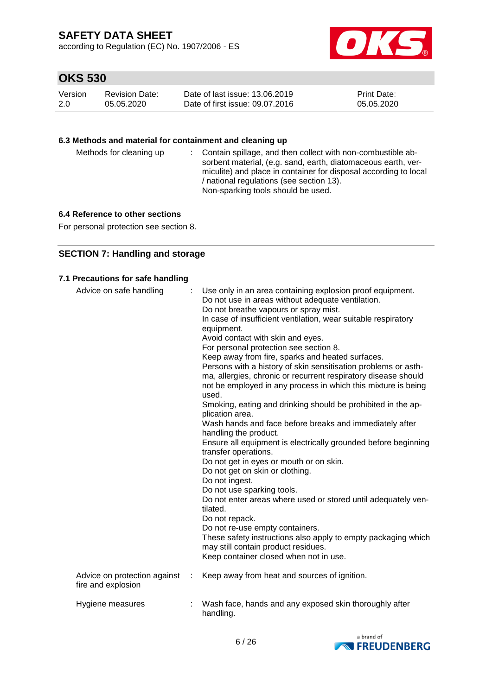according to Regulation (EC) No. 1907/2006 - ES



# **OKS 530**

| Version | Revision Date: | Date of last issue: 13.06.2019  | <b>Print Date:</b> |
|---------|----------------|---------------------------------|--------------------|
| 2.0     | 05.05.2020     | Date of first issue: 09.07.2016 | 05.05.2020         |

### **6.3 Methods and material for containment and cleaning up**

| Methods for cleaning up | : Contain spillage, and then collect with non-combustible ab-<br>sorbent material, (e.g. sand, earth, diatomaceous earth, ver-<br>miculite) and place in container for disposal according to local<br>/ national regulations (see section 13).<br>Non-sparking tools should be used. |  |
|-------------------------|--------------------------------------------------------------------------------------------------------------------------------------------------------------------------------------------------------------------------------------------------------------------------------------|--|
|-------------------------|--------------------------------------------------------------------------------------------------------------------------------------------------------------------------------------------------------------------------------------------------------------------------------------|--|

### **6.4 Reference to other sections**

For personal protection see section 8.

### **SECTION 7: Handling and storage**

#### **7.1 Precautions for safe handling**

| Advice on safe handling                            | Use only in an area containing explosion proof equipment.<br>Do not use in areas without adequate ventilation.<br>Do not breathe vapours or spray mist.<br>In case of insufficient ventilation, wear suitable respiratory<br>equipment.<br>Avoid contact with skin and eyes.<br>For personal protection see section 8.<br>Keep away from fire, sparks and heated surfaces.<br>Persons with a history of skin sensitisation problems or asth-<br>ma, allergies, chronic or recurrent respiratory disease should<br>not be employed in any process in which this mixture is being<br>used.<br>Smoking, eating and drinking should be prohibited in the ap-<br>plication area.<br>Wash hands and face before breaks and immediately after<br>handling the product.<br>Ensure all equipment is electrically grounded before beginning<br>transfer operations.<br>Do not get in eyes or mouth or on skin.<br>Do not get on skin or clothing.<br>Do not ingest.<br>Do not use sparking tools.<br>Do not enter areas where used or stored until adequately ven-<br>tilated.<br>Do not repack.<br>Do not re-use empty containers.<br>These safety instructions also apply to empty packaging which<br>may still contain product residues.<br>Keep container closed when not in use. |
|----------------------------------------------------|-----------------------------------------------------------------------------------------------------------------------------------------------------------------------------------------------------------------------------------------------------------------------------------------------------------------------------------------------------------------------------------------------------------------------------------------------------------------------------------------------------------------------------------------------------------------------------------------------------------------------------------------------------------------------------------------------------------------------------------------------------------------------------------------------------------------------------------------------------------------------------------------------------------------------------------------------------------------------------------------------------------------------------------------------------------------------------------------------------------------------------------------------------------------------------------------------------------------------------------------------------------------------------|
| Advice on protection against<br>fire and explosion | Keep away from heat and sources of ignition.                                                                                                                                                                                                                                                                                                                                                                                                                                                                                                                                                                                                                                                                                                                                                                                                                                                                                                                                                                                                                                                                                                                                                                                                                                |
| Hygiene measures                                   | Wash face, hands and any exposed skin thoroughly after<br>handling.                                                                                                                                                                                                                                                                                                                                                                                                                                                                                                                                                                                                                                                                                                                                                                                                                                                                                                                                                                                                                                                                                                                                                                                                         |

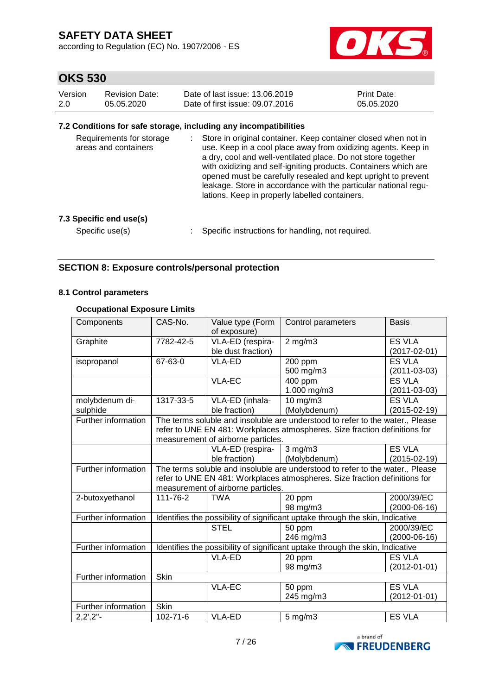according to Regulation (EC) No. 1907/2006 - ES



## **OKS 530**

| Version | <b>Revision Date:</b> | Date of last issue: 13.06.2019  | <b>Print Date:</b> |
|---------|-----------------------|---------------------------------|--------------------|
| -2.0    | 05.05.2020            | Date of first issue: 09.07.2016 | 05.05.2020         |

#### **7.2 Conditions for safe storage, including any incompatibilities**

| Requirements for storage<br>areas and containers |  | : Store in original container. Keep container closed when not in<br>use. Keep in a cool place away from oxidizing agents. Keep in<br>a dry, cool and well-ventilated place. Do not store together<br>with oxidizing and self-igniting products. Containers which are<br>opened must be carefully resealed and kept upright to prevent<br>leakage. Store in accordance with the particular national regu-<br>lations. Keep in properly labelled containers. |
|--------------------------------------------------|--|------------------------------------------------------------------------------------------------------------------------------------------------------------------------------------------------------------------------------------------------------------------------------------------------------------------------------------------------------------------------------------------------------------------------------------------------------------|
|--------------------------------------------------|--|------------------------------------------------------------------------------------------------------------------------------------------------------------------------------------------------------------------------------------------------------------------------------------------------------------------------------------------------------------------------------------------------------------------------------------------------------------|

#### **7.3 Specific end use(s)**

Specific use(s) : Specific instructions for handling, not required.

### **SECTION 8: Exposure controls/personal protection**

#### **8.1 Control parameters**

#### **Occupational Exposure Limits**

| Components          | CAS-No.                                                                       | Value type (Form<br>of exposure)   | Control parameters<br><b>Basis</b>                                            |                    |  |
|---------------------|-------------------------------------------------------------------------------|------------------------------------|-------------------------------------------------------------------------------|--------------------|--|
| Graphite            | 7782-42-5                                                                     | VLA-ED (respira-                   | $2$ mg/m $3$                                                                  | <b>ES VLA</b>      |  |
|                     |                                                                               | ble dust fraction)                 |                                                                               | $(2017 - 02 - 01)$ |  |
| isopropanol         | 67-63-0                                                                       | <b>VLA-ED</b>                      | 200 ppm                                                                       | <b>ES VLA</b>      |  |
|                     |                                                                               |                                    | 500 mg/m3                                                                     | $(2011 - 03 - 03)$ |  |
|                     |                                                                               | <b>VLA-EC</b>                      | 400 ppm                                                                       | <b>ES VLA</b>      |  |
|                     |                                                                               |                                    | 1.000 mg/m3                                                                   | $(2011 - 03 - 03)$ |  |
| molybdenum di-      | 1317-33-5                                                                     | VLA-ED (inhala-                    | 10 mg/m3                                                                      | <b>ES VLA</b>      |  |
| sulphide            |                                                                               | ble fraction)                      | (Molybdenum)                                                                  | $(2015 - 02 - 19)$ |  |
| Further information |                                                                               |                                    | The terms soluble and insoluble are understood to refer to the water., Please |                    |  |
|                     |                                                                               |                                    | refer to UNE EN 481: Workplaces atmospheres. Size fraction definitions for    |                    |  |
|                     |                                                                               | measurement of airborne particles. |                                                                               |                    |  |
|                     |                                                                               | VLA-ED (respira-                   | $3$ mg/m $3$                                                                  | <b>ES VLA</b>      |  |
|                     |                                                                               | ble fraction)                      | (Molybdenum)                                                                  | $(2015-02-19)$     |  |
| Further information | The terms soluble and insoluble are understood to refer to the water., Please |                                    |                                                                               |                    |  |
|                     |                                                                               |                                    | refer to UNE EN 481: Workplaces atmospheres. Size fraction definitions for    |                    |  |
|                     |                                                                               | measurement of airborne particles. |                                                                               |                    |  |
| 2-butoxyethanol     | 111-76-2                                                                      | <b>TWA</b>                         | 20 ppm                                                                        | 2000/39/EC         |  |
|                     |                                                                               |                                    | 98 mg/m3                                                                      | $(2000-06-16)$     |  |
| Further information | Identifies the possibility of significant uptake through the skin, Indicative |                                    |                                                                               |                    |  |
|                     |                                                                               | <b>STEL</b>                        | 50 ppm                                                                        | 2000/39/EC         |  |
|                     |                                                                               |                                    | 246 mg/m3                                                                     | $(2000-06-16)$     |  |
| Further information |                                                                               |                                    | Identifies the possibility of significant uptake through the skin, Indicative |                    |  |
|                     |                                                                               | VLA-ED                             | 20 ppm                                                                        | <b>ES VLA</b>      |  |
|                     |                                                                               |                                    | 98 mg/m3                                                                      | $(2012 - 01 - 01)$ |  |
| Further information | Skin                                                                          |                                    |                                                                               |                    |  |
|                     |                                                                               | <b>VLA-EC</b>                      | 50 ppm                                                                        | <b>ES VLA</b>      |  |
|                     |                                                                               |                                    | 245 mg/m3                                                                     | $(2012 - 01 - 01)$ |  |
| Further information | <b>Skin</b>                                                                   |                                    |                                                                               |                    |  |
| $2,2',2''-$         | $102 - 71 - 6$                                                                | VLA-ED                             | $5$ mg/m $3$                                                                  | <b>ES VLA</b>      |  |

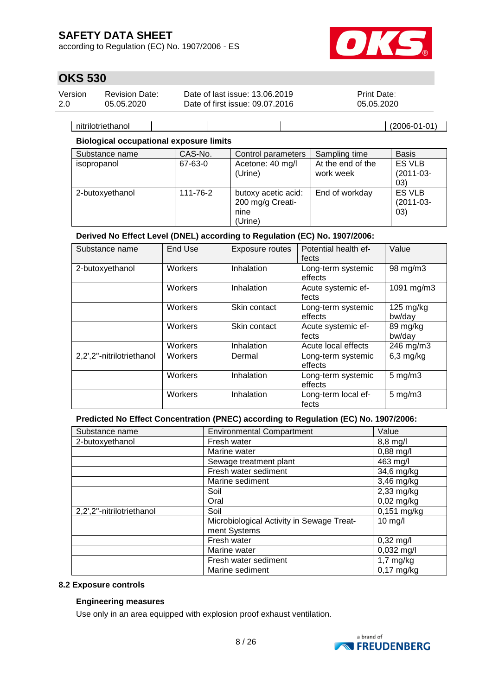according to Regulation (EC) No. 1907/2006 - ES



## **OKS 530**

| Version | <b>Revision Date:</b> | Date of last issue: 13.06.2019  | <b>Print Date:</b> |
|---------|-----------------------|---------------------------------|--------------------|
| 2.0     | 05.05.2020            | Date of first issue: 09.07.2016 | 05.05.2020         |

nitrilotriethanol (2006-01-01)

#### **Biological occupational exposure limits**

| Substance name  | CAS-No.  | Control parameters                                         | Sampling time                  | <b>Basis</b>                         |
|-----------------|----------|------------------------------------------------------------|--------------------------------|--------------------------------------|
| isopropanol     | 67-63-0  | Acetone: 40 mg/l<br>(Urine)                                | At the end of the<br>work week | <b>ES VLB</b><br>$(2011-03-$<br>03)  |
| 2-butoxyethanol | 111-76-2 | butoxy acetic acid:<br>200 mg/g Creati-<br>nine<br>(Urine) | End of workday                 | <b>ES VLB</b><br>$(2011-03-$<br>(03) |

### **Derived No Effect Level (DNEL) according to Regulation (EC) No. 1907/2006:**

| Substance name            | End Use | Exposure routes | Potential health ef-<br>fects | Value                 |
|---------------------------|---------|-----------------|-------------------------------|-----------------------|
| 2-butoxyethanol           | Workers | Inhalation      | Long-term systemic<br>effects | 98 mg/m3              |
|                           | Workers | Inhalation      | Acute systemic ef-<br>fects   | 1091 mg/m3            |
|                           | Workers | Skin contact    | Long-term systemic<br>effects | $125$ mg/kg<br>bw/day |
|                           | Workers | Skin contact    | Acute systemic ef-<br>fects   | 89 mg/kg<br>bw/day    |
|                           | Workers | Inhalation      | Acute local effects           | 246 mg/m3             |
| 2,2',2"-nitrilotriethanol | Workers | Dermal          | Long-term systemic<br>effects | $6,3$ mg/kg           |
|                           | Workers | Inhalation      | Long-term systemic<br>effects | $5$ mg/m $3$          |
|                           | Workers | Inhalation      | Long-term local ef-<br>fects  | $5 \text{ mg/m}$ 3    |

#### **Predicted No Effect Concentration (PNEC) according to Regulation (EC) No. 1907/2006:**

| Substance name            | <b>Environmental Compartment</b><br>Value |                     |
|---------------------------|-------------------------------------------|---------------------|
| 2-butoxyethanol           | Fresh water                               | 8,8 mg/l            |
|                           | Marine water                              | $0,88 \text{ mg/l}$ |
|                           | Sewage treatment plant                    | 463 mg/l            |
|                           | Fresh water sediment                      | 34,6 mg/kg          |
|                           | Marine sediment                           | $3,46$ mg/kg        |
|                           | Soil                                      | $2,33$ mg/kg        |
|                           | Oral                                      | $0,02$ mg/kg        |
| 2,2',2"-nitrilotriethanol | Soil                                      | $0,151$ mg/kg       |
|                           | Microbiological Activity in Sewage Treat- | $10$ mg/l           |
|                           | ment Systems                              |                     |
|                           | Fresh water                               | $0,32 \text{ mg/l}$ |
|                           | Marine water                              | $0,032$ mg/l        |
|                           | Fresh water sediment                      | $1,7$ mg/kg         |
|                           | Marine sediment                           | $0,17$ mg/kg        |

#### **8.2 Exposure controls**

### **Engineering measures**

Use only in an area equipped with explosion proof exhaust ventilation.

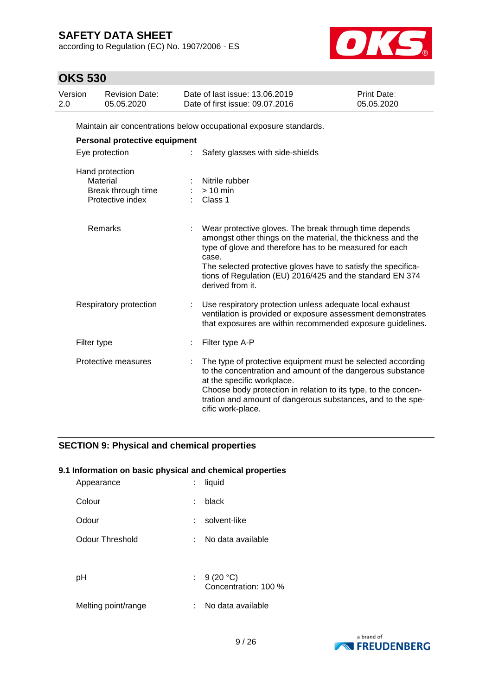according to Regulation (EC) No. 1907/2006 - ES



## **OKS 530**

| Version<br>2.0 | <b>Revision Date:</b><br>05.05.2020 | Date of last issue: 13.06.2019<br>Date of first issue: 09.07.2016  | <b>Print Date:</b><br>05.05.2020 |
|----------------|-------------------------------------|--------------------------------------------------------------------|----------------------------------|
|                |                                     | Maintain air concentrations below occupational exposure standards. |                                  |
|                | Personal protective equipment       |                                                                    |                                  |
|                | Eye protection                      | Safety glasses with side-shields                                   |                                  |
|                | Hand protection                     |                                                                    |                                  |
|                | Material                            | Nitrile rubber                                                     |                                  |
|                | Break through time                  | $>10$ min                                                          |                                  |

| Protective index       | Class 1                                                                                                                                                                                                                                                                                                                                     |
|------------------------|---------------------------------------------------------------------------------------------------------------------------------------------------------------------------------------------------------------------------------------------------------------------------------------------------------------------------------------------|
| Remarks                | Wear protective gloves. The break through time depends<br>amongst other things on the material, the thickness and the<br>type of glove and therefore has to be measured for each<br>case.<br>The selected protective gloves have to satisfy the specifica-<br>tions of Regulation (EU) 2016/425 and the standard EN 374<br>derived from it. |
| Respiratory protection | Use respiratory protection unless adequate local exhaust<br>ventilation is provided or exposure assessment demonstrates<br>that exposures are within recommended exposure guidelines.                                                                                                                                                       |
| Filter type            | Filter type A-P                                                                                                                                                                                                                                                                                                                             |
| Protective measures    | The type of protective equipment must be selected according<br>to the concentration and amount of the dangerous substance<br>at the specific workplace.<br>Choose body protection in relation to its type, to the concen-<br>tration and amount of dangerous substances, and to the spe-<br>cific work-place.                               |

### **SECTION 9: Physical and chemical properties**

### **9.1 Information on basic physical and chemical properties**

| Appearance          | t. | liquid                               |
|---------------------|----|--------------------------------------|
| Colour              |    | black                                |
| Odour               |    | solvent-like                         |
| Odour Threshold     | t. | No data available                    |
|                     |    |                                      |
| рH                  |    | : $9(20 °C)$<br>Concentration: 100 % |
| Melting point/range |    | No data available                    |
|                     |    |                                      |

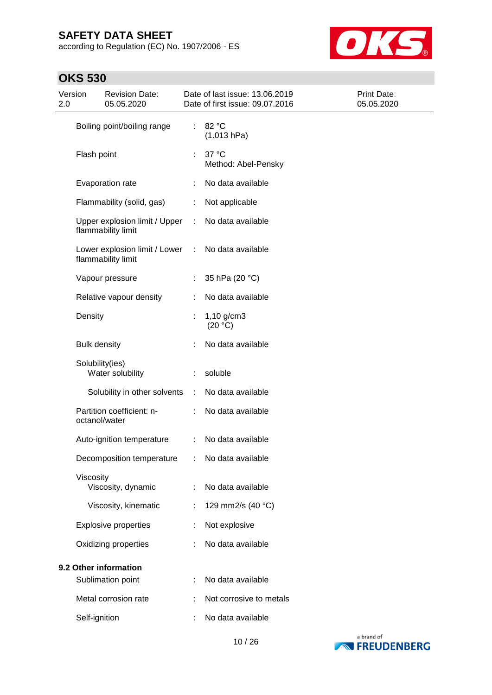according to Regulation (EC) No. 1907/2006 - ES



| 2.0 | <b>Revision Date:</b><br>Date of last issue: 13.06.2019<br>Version<br>05.05.2020<br>Date of first issue: 09.07.2016 |                                                     |    | Print Date:<br>05.05.2020    |  |
|-----|---------------------------------------------------------------------------------------------------------------------|-----------------------------------------------------|----|------------------------------|--|
|     | Boiling point/boiling range                                                                                         |                                                     | ÷. | 82 °C<br>(1.013 hPa)         |  |
|     | Flash point                                                                                                         |                                                     | ÷  | 37 °C<br>Method: Abel-Pensky |  |
|     |                                                                                                                     | Evaporation rate                                    |    | No data available            |  |
|     |                                                                                                                     | Flammability (solid, gas)                           | ÷  | Not applicable               |  |
|     | Upper explosion limit / Upper<br>flammability limit                                                                 |                                                     | ÷  | No data available            |  |
|     |                                                                                                                     | Lower explosion limit / Lower<br>flammability limit | ÷  | No data available            |  |
|     | Vapour pressure                                                                                                     |                                                     |    | 35 hPa (20 °C)               |  |
|     |                                                                                                                     | Relative vapour density                             |    | No data available            |  |
|     | Density                                                                                                             |                                                     | t  | $1,10$ g/cm3<br>(20 °C)      |  |
|     | <b>Bulk density</b>                                                                                                 |                                                     |    | No data available            |  |
|     | Solubility(ies)                                                                                                     | Water solubility                                    |    | soluble                      |  |
|     |                                                                                                                     | Solubility in other solvents                        |    | No data available            |  |
|     | octanol/water                                                                                                       | Partition coefficient: n-                           |    | No data available            |  |
|     |                                                                                                                     | Auto-ignition temperature                           | ÷  | No data available            |  |
|     |                                                                                                                     | Decomposition temperature                           |    | No data available            |  |
|     | Viscosity                                                                                                           | Viscosity, dynamic                                  |    | No data available            |  |
|     |                                                                                                                     | Viscosity, kinematic                                |    | 129 mm2/s (40 °C)            |  |
|     |                                                                                                                     | <b>Explosive properties</b>                         |    | Not explosive                |  |
|     |                                                                                                                     | Oxidizing properties                                |    | No data available            |  |
|     |                                                                                                                     | 9.2 Other information                               |    |                              |  |
|     |                                                                                                                     | Sublimation point                                   |    | No data available            |  |
|     |                                                                                                                     | Metal corrosion rate                                |    | Not corrosive to metals      |  |
|     | Self-ignition                                                                                                       |                                                     |    | No data available            |  |

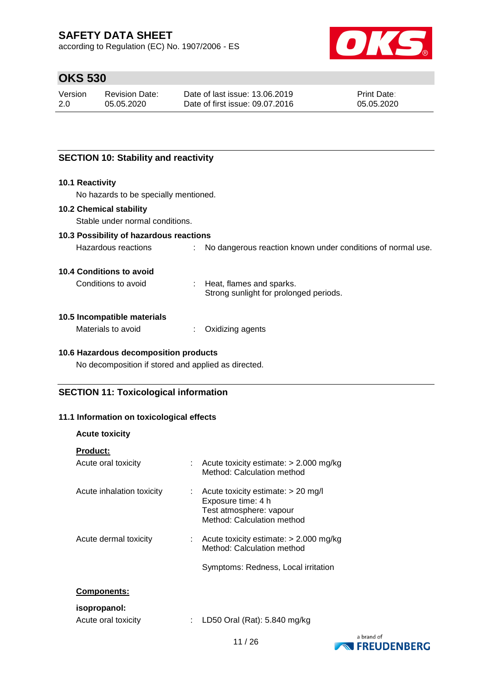according to Regulation (EC) No. 1907/2006 - ES



## **OKS 530**

| Version | <b>Revision Date:</b> | Date of last issue: 13.06.2019  | <b>Print Date:</b> |
|---------|-----------------------|---------------------------------|--------------------|
| 2.0     | 05.05.2020            | Date of first issue: 09.07.2016 | 05.05.2020         |

### **SECTION 10: Stability and reactivity**

#### **10.1 Reactivity**

No hazards to be specially mentioned.

#### **10.2 Chemical stability**

Stable under normal conditions.

### **10.3 Possibility of hazardous reactions**

| Hazardous reactions | No dangerous reaction known under conditions of normal use. |
|---------------------|-------------------------------------------------------------|
|---------------------|-------------------------------------------------------------|

#### **10.4 Conditions to avoid**

Conditions to avoid : Heat, flames and sparks.

Strong sunlight for prolonged periods.

#### **10.5 Incompatible materials**

| Materials to avoid | Oxidizing agents |
|--------------------|------------------|
|--------------------|------------------|

#### **10.6 Hazardous decomposition products**

No decomposition if stored and applied as directed.

### **SECTION 11: Toxicological information**

#### **11.1 Information on toxicological effects**

| <b>Acute toxicity</b>     |                                                                                                                          |  |
|---------------------------|--------------------------------------------------------------------------------------------------------------------------|--|
| <b>Product:</b>           |                                                                                                                          |  |
| Acute oral toxicity       | Acute toxicity estimate: $> 2.000$ mg/kg<br>Method: Calculation method                                                   |  |
| Acute inhalation toxicity | Acute toxicity estimate: $> 20$ mg/l<br>÷<br>Exposure time: 4 h<br>Test atmosphere: vapour<br>Method: Calculation method |  |
| Acute dermal toxicity     | Acute toxicity estimate: $> 2.000$ mg/kg<br>Method: Calculation method<br>Symptoms: Redness, Local irritation            |  |
|                           |                                                                                                                          |  |
| <b>Components:</b>        |                                                                                                                          |  |
| isopropanol:              |                                                                                                                          |  |
| Acute oral toxicity       | LD50 Oral (Rat): 5.840 mg/kg                                                                                             |  |

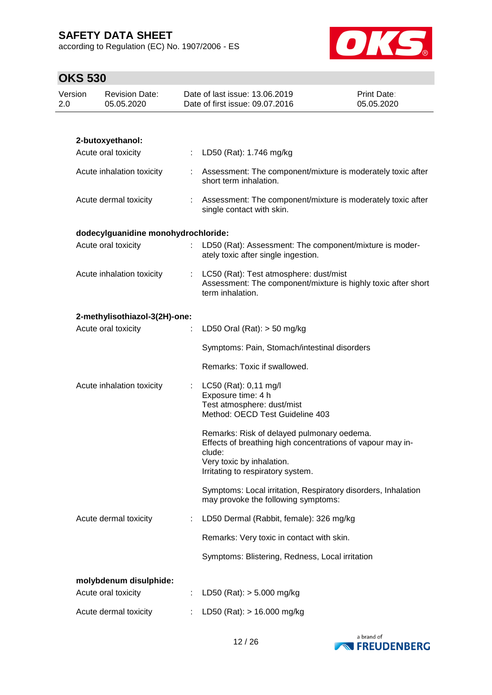according to Regulation (EC) No. 1907/2006 - ES



| Version<br>2.0 | <b>Revision Date:</b><br>05.05.2020 |   | Date of last issue: 13.06.2019<br>Date of first issue: 09.07.2016                                                           | Print Date:<br>05.05.2020 |
|----------------|-------------------------------------|---|-----------------------------------------------------------------------------------------------------------------------------|---------------------------|
|                |                                     |   |                                                                                                                             |                           |
|                | 2-butoxyethanol:                    |   |                                                                                                                             |                           |
|                | Acute oral toxicity                 |   | LD50 (Rat): 1.746 mg/kg                                                                                                     |                           |
|                | Acute inhalation toxicity           |   | : Assessment: The component/mixture is moderately toxic after<br>short term inhalation.                                     |                           |
|                | Acute dermal toxicity               |   | Assessment: The component/mixture is moderately toxic after<br>single contact with skin.                                    |                           |
|                | dodecylguanidine monohydrochloride: |   |                                                                                                                             |                           |
|                | Acute oral toxicity                 |   | LD50 (Rat): Assessment: The component/mixture is moder-<br>ately toxic after single ingestion.                              |                           |
|                | Acute inhalation toxicity           |   | LC50 (Rat): Test atmosphere: dust/mist<br>Assessment: The component/mixture is highly toxic after short<br>term inhalation. |                           |
|                | 2-methylisothiazol-3(2H)-one:       |   |                                                                                                                             |                           |
|                | Acute oral toxicity                 | ÷ | LD50 Oral (Rat): $>$ 50 mg/kg                                                                                               |                           |
|                |                                     |   | Symptoms: Pain, Stomach/intestinal disorders                                                                                |                           |
|                |                                     |   | Remarks: Toxic if swallowed.                                                                                                |                           |
|                | Acute inhalation toxicity           |   | : LC50 (Rat): $0,11 \text{ mg/l}$                                                                                           |                           |
|                |                                     |   | Exposure time: 4 h<br>Test atmosphere: dust/mist                                                                            |                           |
|                |                                     |   | Method: OECD Test Guideline 403                                                                                             |                           |
|                |                                     |   | Remarks: Risk of delayed pulmonary oedema.<br>Effects of breathing high concentrations of vapour may in-<br>clude:          |                           |
|                |                                     |   | Very toxic by inhalation.<br>Irritating to respiratory system.                                                              |                           |
|                |                                     |   |                                                                                                                             |                           |
|                |                                     |   | Symptoms: Local irritation, Respiratory disorders, Inhalation<br>may provoke the following symptoms:                        |                           |
|                | Acute dermal toxicity               |   | LD50 Dermal (Rabbit, female): 326 mg/kg                                                                                     |                           |
|                |                                     |   | Remarks: Very toxic in contact with skin.                                                                                   |                           |
|                |                                     |   | Symptoms: Blistering, Redness, Local irritation                                                                             |                           |
|                | molybdenum disulphide:              |   |                                                                                                                             |                           |
|                | Acute oral toxicity                 |   | LD50 (Rat): $> 5.000$ mg/kg                                                                                                 |                           |
|                | Acute dermal toxicity               |   | LD50 (Rat): > 16.000 mg/kg                                                                                                  |                           |

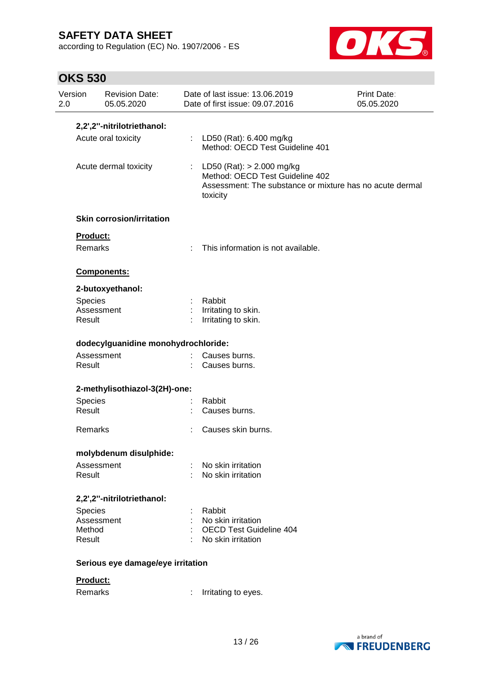according to Regulation (EC) No. 1907/2006 - ES



| <b>OKS 530</b>        |                                     |                                                                              |                                                          |  |  |  |  |
|-----------------------|-------------------------------------|------------------------------------------------------------------------------|----------------------------------------------------------|--|--|--|--|
| Version<br>2.0        | <b>Revision Date:</b><br>05.05.2020 | Date of last issue: 13.06.2019<br>Date of first issue: 09.07.2016            | <b>Print Date:</b><br>05.05.2020                         |  |  |  |  |
|                       | 2,2',2"-nitrilotriethanol:          |                                                                              |                                                          |  |  |  |  |
|                       | Acute oral toxicity                 | LD50 (Rat): 6.400 mg/kg<br>Method: OECD Test Guideline 401                   |                                                          |  |  |  |  |
| Acute dermal toxicity |                                     | : LD50 (Rat): $> 2.000$ mg/kg<br>Method: OECD Test Guideline 402<br>toxicity | Assessment: The substance or mixture has no acute dermal |  |  |  |  |
|                       | <b>Skin corrosion/irritation</b>    |                                                                              |                                                          |  |  |  |  |
| <b>Product:</b>       |                                     |                                                                              |                                                          |  |  |  |  |
| <b>Remarks</b>        |                                     | This information is not available.                                           |                                                          |  |  |  |  |
|                       | Components:                         |                                                                              |                                                          |  |  |  |  |
|                       | 2-butoxyethanol:                    |                                                                              |                                                          |  |  |  |  |
| <b>Species</b>        |                                     | Rabbit                                                                       |                                                          |  |  |  |  |
| Assessment<br>Result  |                                     | Irritating to skin.<br>Irritating to skin.                                   |                                                          |  |  |  |  |
|                       | dodecylguanidine monohydrochloride: |                                                                              |                                                          |  |  |  |  |
| Assessment<br>Result  |                                     | Causes burns.<br>Causes burns.                                               |                                                          |  |  |  |  |
|                       | 2-methylisothiazol-3(2H)-one:       |                                                                              |                                                          |  |  |  |  |
| Species               |                                     | Rabbit                                                                       |                                                          |  |  |  |  |
| Result                |                                     | Causes burns.                                                                |                                                          |  |  |  |  |
| Remarks               |                                     | Causes skin burns.                                                           |                                                          |  |  |  |  |
|                       | molybdenum disulphide:              |                                                                              |                                                          |  |  |  |  |
| Result                | Assessment                          | No skin irritation<br>No skin irritation                                     |                                                          |  |  |  |  |
|                       | 2,2',2"-nitrilotriethanol:          |                                                                              |                                                          |  |  |  |  |
| Species               |                                     | Rabbit                                                                       |                                                          |  |  |  |  |
| Assessment            |                                     |                                                                              | No skin irritation                                       |  |  |  |  |
| Method<br>Result      |                                     | No skin irritation                                                           | <b>OECD Test Guideline 404</b>                           |  |  |  |  |

a brand of **EXPRESSION FREUDENBERG** 

Remarks : Irritating to eyes.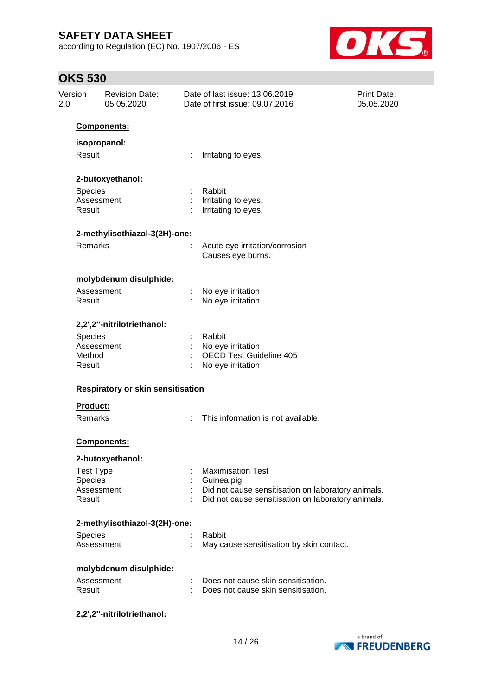according to Regulation (EC) No. 1907/2006 - ES



| Version<br>2.0   | <b>Revision Date:</b><br>05.05.2020 |   | Date of last issue: 13.06.2019<br>Date of first issue: 09.07.2016 | <b>Print Date:</b><br>05.05.2020 |
|------------------|-------------------------------------|---|-------------------------------------------------------------------|----------------------------------|
|                  | Components:                         |   |                                                                   |                                  |
|                  | isopropanol:                        |   |                                                                   |                                  |
| Result           |                                     |   | Irritating to eyes.                                               |                                  |
|                  |                                     |   |                                                                   |                                  |
|                  | 2-butoxyethanol:                    |   |                                                                   |                                  |
| Species          |                                     |   | Rabbit                                                            |                                  |
|                  | Assessment                          |   | Irritating to eyes.                                               |                                  |
| Result           |                                     |   | Irritating to eyes.                                               |                                  |
|                  | 2-methylisothiazol-3(2H)-one:       |   |                                                                   |                                  |
| Remarks          |                                     |   | Acute eye irritation/corrosion                                    |                                  |
|                  |                                     |   | Causes eye burns.                                                 |                                  |
|                  | molybdenum disulphide:              |   |                                                                   |                                  |
|                  | Assessment                          |   | No eye irritation                                                 |                                  |
| Result           |                                     |   | No eye irritation                                                 |                                  |
|                  | 2,2',2"-nitrilotriethanol:          |   |                                                                   |                                  |
| Species          |                                     |   | Rabbit                                                            |                                  |
|                  | Assessment                          |   | No eye irritation                                                 |                                  |
| Method           |                                     |   | <b>OECD Test Guideline 405</b>                                    |                                  |
| Result           |                                     |   | No eye irritation                                                 |                                  |
|                  | Respiratory or skin sensitisation   |   |                                                                   |                                  |
| <b>Product:</b>  |                                     |   |                                                                   |                                  |
| Remarks          |                                     |   | This information is not available.                                |                                  |
|                  | <b>Components:</b>                  |   |                                                                   |                                  |
|                  | 2-butoxyethanol:                    |   |                                                                   |                                  |
| <b>Test Type</b> |                                     |   | <b>Maximisation Test</b>                                          |                                  |
| Species          |                                     |   | Guinea pig                                                        |                                  |
|                  | Assessment                          |   | Did not cause sensitisation on laboratory animals.                |                                  |
| Result           |                                     |   | Did not cause sensitisation on laboratory animals.                |                                  |
|                  | 2-methylisothiazol-3(2H)-one:       |   |                                                                   |                                  |
| Species          |                                     |   | Rabbit                                                            |                                  |
|                  | Assessment                          | ÷ | May cause sensitisation by skin contact.                          |                                  |
|                  | molybdenum disulphide:              |   |                                                                   |                                  |
|                  | Assessment                          |   | Does not cause skin sensitisation.                                |                                  |
| Result           |                                     |   | Does not cause skin sensitisation.                                |                                  |
|                  | 2,2',2"-nitrilotriethanol:          |   |                                                                   |                                  |

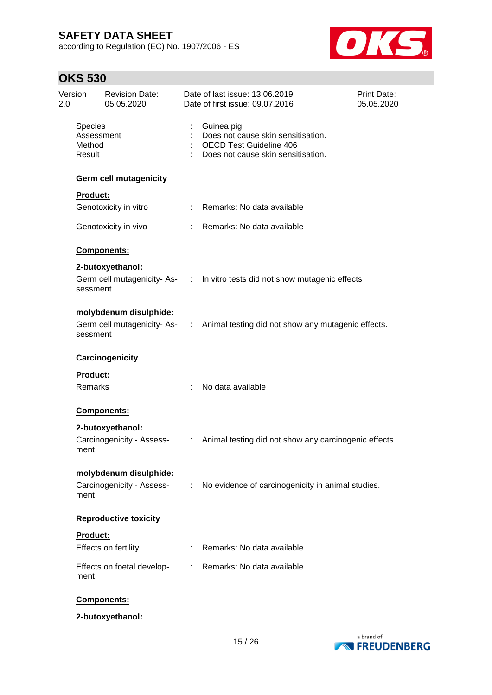according to Regulation (EC) No. 1907/2006 - ES



| Version<br>2.0              | <b>Revision Date:</b><br>05.05.2020                 |                       | Date of last issue: 13.06.2019<br>Date of first issue: 09.07.2016                                                        | <b>Print Date:</b><br>05.05.2020 |
|-----------------------------|-----------------------------------------------------|-----------------------|--------------------------------------------------------------------------------------------------------------------------|----------------------------------|
| Species<br>Method<br>Result | Assessment                                          |                       | Guinea pig<br>Does not cause skin sensitisation.<br><b>OECD Test Guideline 406</b><br>Does not cause skin sensitisation. |                                  |
|                             | <b>Germ cell mutagenicity</b>                       |                       |                                                                                                                          |                                  |
| Product:                    |                                                     |                       |                                                                                                                          |                                  |
|                             | Genotoxicity in vitro                               |                       | : Remarks: No data available                                                                                             |                                  |
|                             | Genotoxicity in vivo                                |                       | : Remarks: No data available                                                                                             |                                  |
|                             | Components:                                         |                       |                                                                                                                          |                                  |
|                             | 2-butoxyethanol:                                    |                       |                                                                                                                          |                                  |
| sessment                    |                                                     |                       | Germ cell mutagenicity-As- : In vitro tests did not show mutagenic effects                                               |                                  |
| sessment                    | molybdenum disulphide:                              |                       | Germ cell mutagenicity-As- : Animal testing did not show any mutagenic effects.                                          |                                  |
|                             | Carcinogenicity                                     |                       |                                                                                                                          |                                  |
| Product:<br><b>Remarks</b>  |                                                     | ÷.                    | No data available                                                                                                        |                                  |
|                             | Components:                                         |                       |                                                                                                                          |                                  |
| ment                        | 2-butoxyethanol:<br>Carcinogenicity - Assess-       | $\mathbb{Z}^{\times}$ | Animal testing did not show any carcinogenic effects.                                                                    |                                  |
| ment                        | molybdenum disulphide:<br>Carcinogenicity - Assess- |                       | : No evidence of carcinogenicity in animal studies.                                                                      |                                  |
|                             | <b>Reproductive toxicity</b>                        |                       |                                                                                                                          |                                  |
| Product:                    | Effects on fertility                                |                       | Remarks: No data available                                                                                               |                                  |
| ment                        | Effects on foetal develop-                          | t.                    | Remarks: No data available                                                                                               |                                  |
|                             | Components:                                         |                       |                                                                                                                          |                                  |
|                             | 2-butoxyethanol:                                    |                       |                                                                                                                          |                                  |

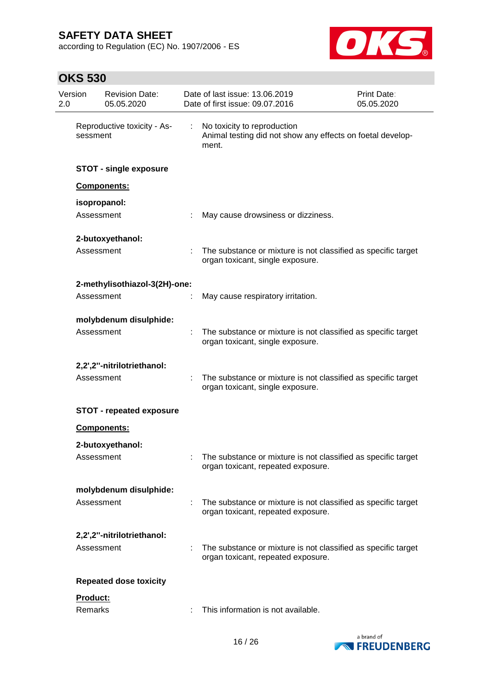according to Regulation (EC) No. 1907/2006 - ES



| Version<br>2.0 |            | <b>Revision Date:</b><br>05.05.2020 | Date of last issue: 13.06.2019<br>Date of first issue: 09.07.2016                                     | Print Date:<br>05.05.2020 |
|----------------|------------|-------------------------------------|-------------------------------------------------------------------------------------------------------|---------------------------|
|                | sessment   | Reproductive toxicity - As-         | No toxicity to reproduction<br>Animal testing did not show any effects on foetal develop-<br>ment.    |                           |
|                |            | <b>STOT - single exposure</b>       |                                                                                                       |                           |
|                |            | Components:                         |                                                                                                       |                           |
|                |            | isopropanol:                        |                                                                                                       |                           |
|                | Assessment |                                     | May cause drowsiness or dizziness.                                                                    |                           |
|                |            | 2-butoxyethanol:                    |                                                                                                       |                           |
|                | Assessment |                                     | The substance or mixture is not classified as specific target<br>organ toxicant, single exposure.     |                           |
|                |            | 2-methylisothiazol-3(2H)-one:       |                                                                                                       |                           |
|                | Assessment |                                     | May cause respiratory irritation.                                                                     |                           |
|                |            | molybdenum disulphide:              |                                                                                                       |                           |
|                | Assessment |                                     | The substance or mixture is not classified as specific target<br>organ toxicant, single exposure.     |                           |
|                |            | 2,2',2"-nitrilotriethanol:          |                                                                                                       |                           |
|                | Assessment |                                     | The substance or mixture is not classified as specific target<br>organ toxicant, single exposure.     |                           |
|                |            | <b>STOT - repeated exposure</b>     |                                                                                                       |                           |
|                |            | Components:                         |                                                                                                       |                           |
|                |            | 2-butoxyethanol:                    |                                                                                                       |                           |
|                | Assessment |                                     | : The substance or mixture is not classified as specific target<br>organ toxicant, repeated exposure. |                           |
|                |            | molybdenum disulphide:              |                                                                                                       |                           |
|                | Assessment |                                     | The substance or mixture is not classified as specific target<br>organ toxicant, repeated exposure.   |                           |
|                |            | 2,2',2"-nitrilotriethanol:          |                                                                                                       |                           |
|                | Assessment |                                     | The substance or mixture is not classified as specific target<br>organ toxicant, repeated exposure.   |                           |
|                |            | <b>Repeated dose toxicity</b>       |                                                                                                       |                           |
|                | Product:   |                                     |                                                                                                       |                           |
|                | Remarks    |                                     | This information is not available.                                                                    |                           |

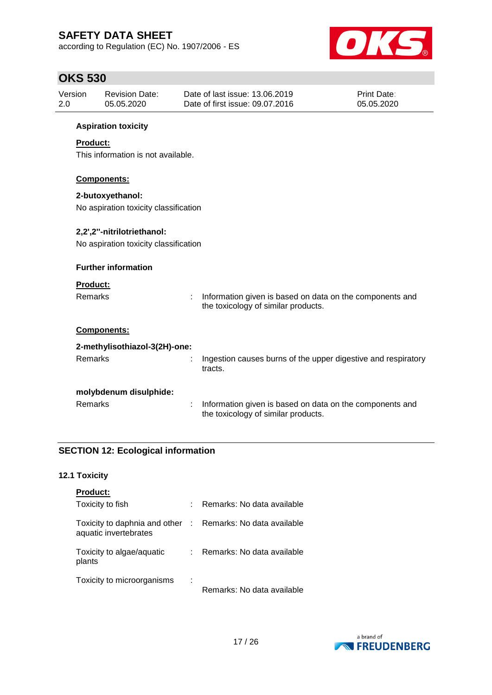according to Regulation (EC) No. 1907/2006 - ES



## **OKS 530**

| Version<br>2.0                                        |                                       | <b>Revision Date:</b><br>05.05.2020 |   | Date of last issue: 13.06.2019<br>Date of first issue: 09.07.2016                               | Print Date:<br>05.05.2020 |  |
|-------------------------------------------------------|---------------------------------------|-------------------------------------|---|-------------------------------------------------------------------------------------------------|---------------------------|--|
|                                                       |                                       | <b>Aspiration toxicity</b>          |   |                                                                                                 |                           |  |
| <b>Product:</b><br>This information is not available. |                                       |                                     |   |                                                                                                 |                           |  |
|                                                       |                                       | Components:                         |   |                                                                                                 |                           |  |
|                                                       |                                       | 2-butoxyethanol:                    |   |                                                                                                 |                           |  |
|                                                       | No aspiration toxicity classification |                                     |   |                                                                                                 |                           |  |
|                                                       |                                       | 2,2',2"-nitrilotriethanol:          |   |                                                                                                 |                           |  |
|                                                       | No aspiration toxicity classification |                                     |   |                                                                                                 |                           |  |
|                                                       |                                       | <b>Further information</b>          |   |                                                                                                 |                           |  |
|                                                       | <b>Product:</b>                       |                                     |   |                                                                                                 |                           |  |
|                                                       | <b>Remarks</b>                        |                                     | ÷ | Information given is based on data on the components and<br>the toxicology of similar products. |                           |  |
|                                                       |                                       | Components:                         |   |                                                                                                 |                           |  |
|                                                       |                                       | 2-methylisothiazol-3(2H)-one:       |   |                                                                                                 |                           |  |
|                                                       | <b>Remarks</b>                        |                                     |   | Ingestion causes burns of the upper digestive and respiratory<br>tracts.                        |                           |  |
|                                                       |                                       | molybdenum disulphide:              |   |                                                                                                 |                           |  |
|                                                       | Remarks                               |                                     |   | Information given is based on data on the components and<br>the toxicology of similar products. |                           |  |

### **SECTION 12: Ecological information**

### **12.1 Toxicity**

| <b>Product:</b>                                        |             |                            |
|--------------------------------------------------------|-------------|----------------------------|
| Toxicity to fish                                       | ÷.          | Remarks: No data available |
| Toxicity to daphnia and other<br>aquatic invertebrates | $\sim 10^6$ | Remarks: No data available |
| Toxicity to algae/aquatic<br>plants                    | t.          | Remarks: No data available |
| Toxicity to microorganisms                             | ÷           | Remarks: No data available |

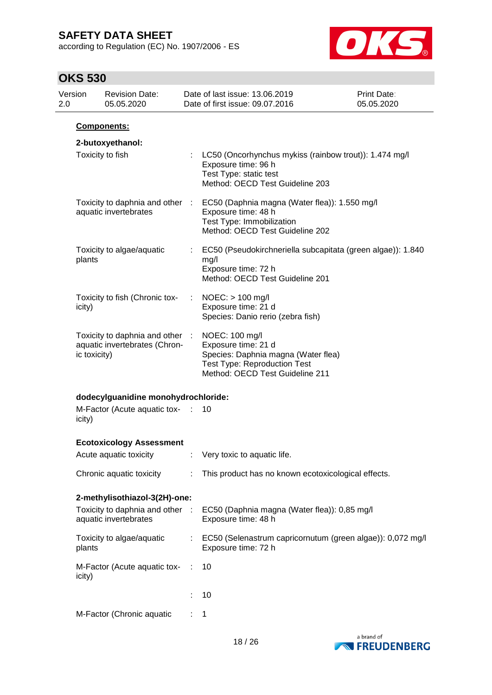according to Regulation (EC) No. 1907/2006 - ES



| 2.0 | Version      | <b>Revision Date:</b><br>05.05.2020                              |                       | Date of last issue: 13.06.2019<br>Date of first issue: 09.07.2016                                                                                      | Print Date:<br>05.05.2020 |
|-----|--------------|------------------------------------------------------------------|-----------------------|--------------------------------------------------------------------------------------------------------------------------------------------------------|---------------------------|
|     |              | <b>Components:</b>                                               |                       |                                                                                                                                                        |                           |
|     |              | 2-butoxyethanol:<br>Toxicity to fish                             |                       | LC50 (Oncorhynchus mykiss (rainbow trout)): 1.474 mg/l<br>Exposure time: 96 h<br>Test Type: static test<br>Method: OECD Test Guideline 203             |                           |
|     |              | Toxicity to daphnia and other :<br>aquatic invertebrates         |                       | EC50 (Daphnia magna (Water flea)): 1.550 mg/l<br>Exposure time: 48 h<br>Test Type: Immobilization<br>Method: OECD Test Guideline 202                   |                           |
|     | plants       | Toxicity to algae/aquatic                                        |                       | EC50 (Pseudokirchneriella subcapitata (green algae)): 1.840<br>mg/l<br>Exposure time: 72 h<br>Method: OECD Test Guideline 201                          |                           |
|     | icity)       | Toxicity to fish (Chronic tox-                                   | $\mathbb{Z}^{\times}$ | $NOEC:$ > 100 mg/l<br>Exposure time: 21 d<br>Species: Danio rerio (zebra fish)                                                                         |                           |
|     | ic toxicity) | Toxicity to daphnia and other :<br>aquatic invertebrates (Chron- |                       | NOEC: 100 mg/l<br>Exposure time: 21 d<br>Species: Daphnia magna (Water flea)<br><b>Test Type: Reproduction Test</b><br>Method: OECD Test Guideline 211 |                           |
|     |              | dodecylguanidine monohydrochloride:                              |                       |                                                                                                                                                        |                           |
|     | icity)       | M-Factor (Acute aquatic tox- :                                   |                       | 10                                                                                                                                                     |                           |
|     |              | <b>Ecotoxicology Assessment</b>                                  |                       |                                                                                                                                                        |                           |
|     |              | Acute aquatic toxicity                                           |                       | Very toxic to aquatic life.                                                                                                                            |                           |
|     |              | Chronic aquatic toxicity                                         |                       | : This product has no known ecotoxicological effects.                                                                                                  |                           |
|     |              | 2-methylisothiazol-3(2H)-one:                                    |                       |                                                                                                                                                        |                           |
|     |              | Toxicity to daphnia and other :<br>aquatic invertebrates         |                       | EC50 (Daphnia magna (Water flea)): 0,85 mg/l<br>Exposure time: 48 h                                                                                    |                           |
|     | plants       | Toxicity to algae/aquatic                                        |                       | : EC50 (Selenastrum capricornutum (green algae)): 0,072 mg/l<br>Exposure time: 72 h                                                                    |                           |
|     | icity)       | M-Factor (Acute aquatic tox-                                     | ÷                     | 10                                                                                                                                                     |                           |
|     |              |                                                                  |                       | 10                                                                                                                                                     |                           |
|     |              | M-Factor (Chronic aquatic                                        |                       | 1                                                                                                                                                      |                           |

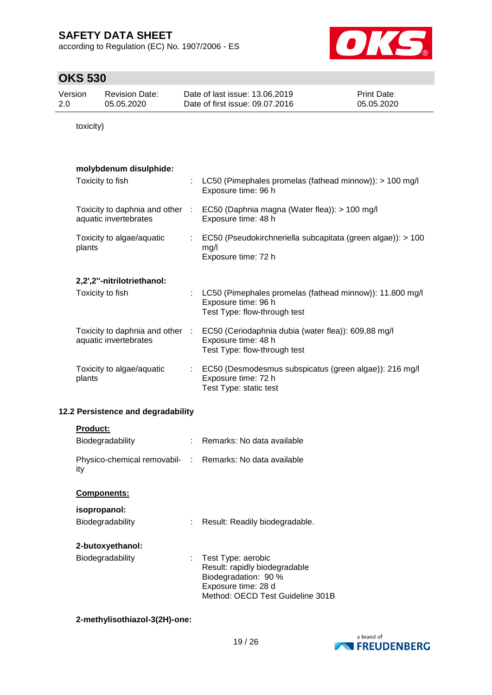according to Regulation (EC) No. 1907/2006 - ES



## **OKS 530**

| Version | Revision Date: | Date of last issue: 13.06.2019  | <b>Print Date:</b> |
|---------|----------------|---------------------------------|--------------------|
| 2.0     | 05.05.2020     | Date of first issue: 09.07.2016 | 05.05.2020         |

toxicity)

### **molybdenum disulphide:**

| Toxicity to fish                                         |    | LC50 (Pimephales promelas (fathead minnow)): > 100 mg/l<br>Exposure time: 96 h                                  |
|----------------------------------------------------------|----|-----------------------------------------------------------------------------------------------------------------|
| Toxicity to daphnia and other :<br>aquatic invertebrates |    | EC50 (Daphnia magna (Water flea)): > 100 mg/l<br>Exposure time: 48 h                                            |
| Toxicity to algae/aquatic<br>plants                      |    | EC50 (Pseudokirchneriella subcapitata (green algae)): > 100<br>mg/l<br>Exposure time: 72 h                      |
| 2,2',2"-nitrilotriethanol:                               |    |                                                                                                                 |
| Toxicity to fish                                         |    | LC50 (Pimephales promelas (fathead minnow)): 11.800 mg/l<br>Exposure time: 96 h<br>Test Type: flow-through test |
| Toxicity to daphnia and other :<br>aquatic invertebrates |    | EC50 (Ceriodaphnia dubia (water flea)): 609,88 mg/l<br>Exposure time: 48 h<br>Test Type: flow-through test      |
| Toxicity to algae/aquatic<br>plants                      | ÷. | EC50 (Desmodesmus subspicatus (green algae)): 216 mg/l<br>Exposure time: 72 h<br>Test Type: static test         |

### **12.2 Persistence and degradability**

| <b>Product:</b>                                                 |    |                                             |
|-----------------------------------------------------------------|----|---------------------------------------------|
| Biodegradability                                                |    | Remarks: No data available                  |
| Physico-chemical removabil- : Remarks: No data available<br>ity |    |                                             |
| <b>Components:</b>                                              |    |                                             |
| isopropanol:                                                    |    |                                             |
| <b>Biodegradability</b>                                         |    | Result: Readily biodegradable.              |
| 2-butoxyethanol:                                                |    |                                             |
| <b>Biodegradability</b>                                         | t. | Test Type: aerobic                          |
|                                                                 |    | Result: rapidly biodegradable               |
|                                                                 |    | Biodegradation: 90 %<br>Exposure time: 28 d |
|                                                                 |    | Method: OECD Test Guideline 301B            |

### **2-methylisothiazol-3(2H)-one:**

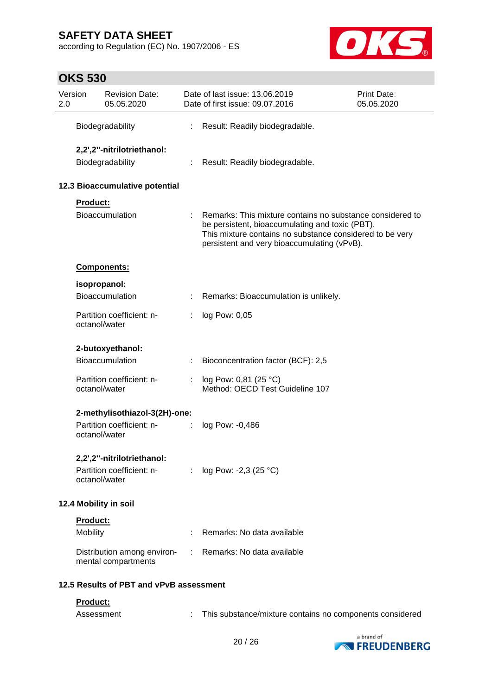according to Regulation (EC) No. 1907/2006 - ES



| 2.0 | Version                                        | <b>Revision Date:</b><br>05.05.2020                     |    | Date of last issue: 13.06.2019<br>Date of first issue: 09.07.2016                                                                                                                                                       | <b>Print Date:</b><br>05.05.2020 |
|-----|------------------------------------------------|---------------------------------------------------------|----|-------------------------------------------------------------------------------------------------------------------------------------------------------------------------------------------------------------------------|----------------------------------|
|     |                                                | Biodegradability                                        |    | Result: Readily biodegradable.                                                                                                                                                                                          |                                  |
|     | 2,2',2"-nitrilotriethanol:<br>Biodegradability |                                                         |    | Result: Readily biodegradable.                                                                                                                                                                                          |                                  |
|     |                                                | 12.3 Bioaccumulative potential                          |    |                                                                                                                                                                                                                         |                                  |
|     | Product:                                       | <b>Bioaccumulation</b>                                  |    | Remarks: This mixture contains no substance considered to<br>be persistent, bioaccumulating and toxic (PBT).<br>This mixture contains no substance considered to be very<br>persistent and very bioaccumulating (vPvB). |                                  |
|     |                                                | Components:                                             |    |                                                                                                                                                                                                                         |                                  |
|     |                                                | isopropanol:                                            |    |                                                                                                                                                                                                                         |                                  |
|     |                                                | <b>Bioaccumulation</b>                                  |    | Remarks: Bioaccumulation is unlikely.                                                                                                                                                                                   |                                  |
|     | octanol/water                                  | Partition coefficient: n-                               |    | log Pow: 0,05                                                                                                                                                                                                           |                                  |
|     |                                                | 2-butoxyethanol:                                        |    |                                                                                                                                                                                                                         |                                  |
|     |                                                | <b>Bioaccumulation</b>                                  |    | Bioconcentration factor (BCF): 2,5                                                                                                                                                                                      |                                  |
|     | octanol/water                                  | Partition coefficient: n-                               |    | log Pow: 0,81 (25 °C)<br>Method: OECD Test Guideline 107                                                                                                                                                                |                                  |
|     |                                                | 2-methylisothiazol-3(2H)-one:                           |    |                                                                                                                                                                                                                         |                                  |
|     | octanol/water                                  | Partition coefficient: n-                               |    | log Pow: -0,486                                                                                                                                                                                                         |                                  |
|     | octanol/water                                  | 2,2',2"-nitrilotriethanol:<br>Partition coefficient: n- | ÷. | log Pow: -2,3 (25 °C)                                                                                                                                                                                                   |                                  |
|     |                                                | 12.4 Mobility in soil                                   |    |                                                                                                                                                                                                                         |                                  |
|     | Product:                                       |                                                         |    |                                                                                                                                                                                                                         |                                  |
|     | Mobility                                       |                                                         |    | Remarks: No data available                                                                                                                                                                                              |                                  |
|     |                                                | Distribution among environ-<br>mental compartments      | t. | Remarks: No data available                                                                                                                                                                                              |                                  |
|     |                                                | 12.5 Results of PBT and vPvB assessment                 |    |                                                                                                                                                                                                                         |                                  |
|     | Product:                                       |                                                         |    |                                                                                                                                                                                                                         |                                  |
|     | Assessment                                     |                                                         |    | This substance/mixture contains no components considered                                                                                                                                                                |                                  |

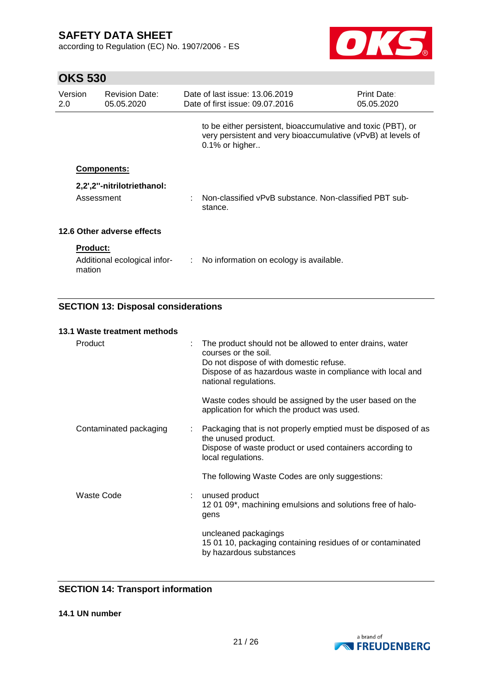**OKS 530**

according to Regulation (EC) No. 1907/2006 - ES



| Version<br>$2.0^{\circ}$ | <b>Revision Date:</b><br>05.05.2020                            |    | Date of last issue: 13.06.2019<br>Date of first issue: 09.07.2016                                                                              | Print Date:<br>05.05.2020 |
|--------------------------|----------------------------------------------------------------|----|------------------------------------------------------------------------------------------------------------------------------------------------|---------------------------|
|                          |                                                                |    | to be either persistent, bioaccumulative and toxic (PBT), or<br>very persistent and very bioaccumulative (vPvB) at levels of<br>0.1% or higher |                           |
|                          | <b>Components:</b><br>2,2',2"-nitrilotriethanol:<br>Assessment |    | Non-classified vPvB substance. Non-classified PBT sub-                                                                                         |                           |
|                          | 12.6 Other adverse effects                                     |    | stance.                                                                                                                                        |                           |
| mation                   | <b>Product:</b><br>Additional ecological infor-                | ÷. | No information on ecology is available.                                                                                                        |                           |

### **SECTION 13: Disposal considerations**

#### **13.1 Waste treatment methods**

| Product                |  | The product should not be allowed to enter drains, water<br>courses or the soil.<br>Do not dispose of with domestic refuse.<br>Dispose of as hazardous waste in compliance with local and<br>national regulations. |
|------------------------|--|--------------------------------------------------------------------------------------------------------------------------------------------------------------------------------------------------------------------|
|                        |  | Waste codes should be assigned by the user based on the<br>application for which the product was used.                                                                                                             |
| Contaminated packaging |  | : Packaging that is not properly emptied must be disposed of as<br>the unused product.<br>Dispose of waste product or used containers according to<br>local regulations.                                           |
|                        |  | The following Waste Codes are only suggestions:                                                                                                                                                                    |
| Waste Code             |  | : unused product<br>12 01 09*, machining emulsions and solutions free of halo-<br>gens                                                                                                                             |
|                        |  | uncleaned packagings<br>15 01 10, packaging containing residues of or contaminated<br>by hazardous substances                                                                                                      |

### **SECTION 14: Transport information**

**14.1 UN number**

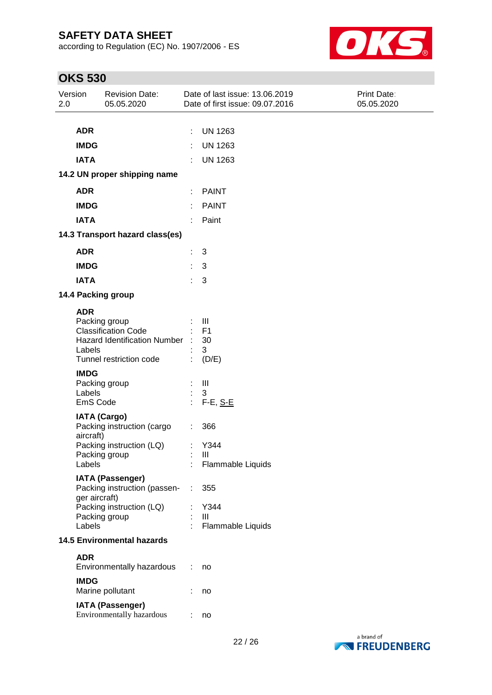according to Regulation (EC) No. 1907/2006 - ES



| Version<br>2.0 |                                          | <b>Revision Date:</b><br>05.05.2020                                                                           |          | Date of last issue: 13.06.2019<br>Date of first issue: 09.07.2016 | Print Date:<br>05.05.2020 |
|----------------|------------------------------------------|---------------------------------------------------------------------------------------------------------------|----------|-------------------------------------------------------------------|---------------------------|
|                | <b>ADR</b><br><b>IMDG</b><br><b>IATA</b> |                                                                                                               |          | <b>UN 1263</b><br><b>UN 1263</b><br><b>UN 1263</b>                |                           |
|                |                                          | 14.2 UN proper shipping name                                                                                  |          |                                                                   |                           |
|                | <b>ADR</b>                               |                                                                                                               |          | <b>PAINT</b>                                                      |                           |
|                | <b>IMDG</b>                              |                                                                                                               |          | <b>PAINT</b>                                                      |                           |
|                | <b>IATA</b>                              |                                                                                                               |          | Paint                                                             |                           |
|                |                                          | 14.3 Transport hazard class(es)                                                                               |          |                                                                   |                           |
|                | <b>ADR</b>                               |                                                                                                               |          | 3                                                                 |                           |
|                | <b>IMDG</b>                              |                                                                                                               |          | 3                                                                 |                           |
|                | <b>IATA</b>                              |                                                                                                               |          | 3                                                                 |                           |
|                |                                          | 14.4 Packing group                                                                                            |          |                                                                   |                           |
|                | <b>ADR</b><br>Labels                     | Packing group<br><b>Classification Code</b><br><b>Hazard Identification Number</b><br>Tunnel restriction code |          | Ш<br>F <sub>1</sub><br>30<br>3<br>(D/E)                           |                           |
|                | <b>IMDG</b><br>Labels<br>EmS Code        | Packing group                                                                                                 |          | $\mathbf{III}$<br>3<br>F-E, S-E                                   |                           |
|                | aircraft)<br>Labels                      | <b>IATA (Cargo)</b><br>Packing instruction (cargo<br>Packing instruction (LQ)<br>Packing group                | ÷.<br>÷. | 366<br>Y344<br>Ш<br>Flammable Liquids                             |                           |
|                | ger aircraft)<br>Labels                  | <b>IATA (Passenger)</b><br>Packing instruction (passen-<br>Packing instruction (LQ)<br>Packing group          | ÷        | 355<br>Y344<br>$\mathbf{III}$<br>Flammable Liquids                |                           |
|                | <b>14.5 Environmental hazards</b>        |                                                                                                               |          |                                                                   |                           |
|                | <b>ADR</b>                               | Environmentally hazardous                                                                                     | ÷        | no                                                                |                           |
|                | <b>IMDG</b>                              | Marine pollutant                                                                                              |          | no                                                                |                           |
|                |                                          | <b>IATA (Passenger)</b><br>Environmentally hazardous                                                          | ÷        | no                                                                |                           |

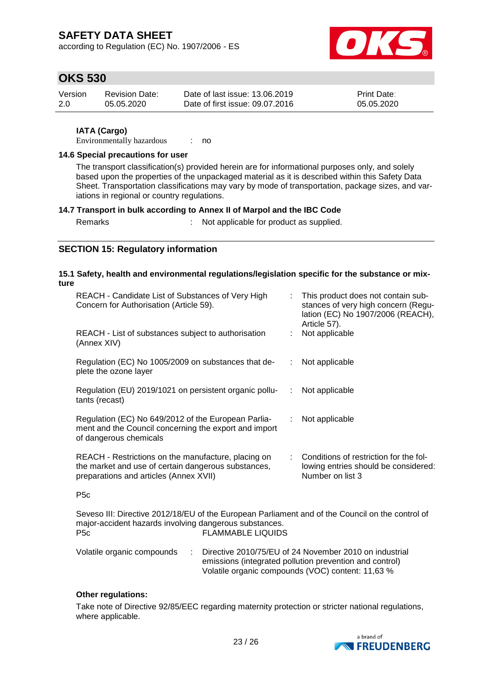according to Regulation (EC) No. 1907/2006 - ES



### **OKS 530**

| Version | Revision Date: | Date of last issue: 13.06.2019  | <b>Print Date:</b> |
|---------|----------------|---------------------------------|--------------------|
| -2.0    | 05.05.2020     | Date of first issue: 09.07.2016 | 05.05.2020         |

#### **IATA (Cargo)**

Environmentally hazardous : no

#### **14.6 Special precautions for user**

The transport classification(s) provided herein are for informational purposes only, and solely based upon the properties of the unpackaged material as it is described within this Safety Data Sheet. Transportation classifications may vary by mode of transportation, package sizes, and variations in regional or country regulations.

#### **14.7 Transport in bulk according to Annex II of Marpol and the IBC Code**

Remarks : Not applicable for product as supplied.

### **SECTION 15: Regulatory information**

#### **15.1 Safety, health and environmental regulations/legislation specific for the substance or mixture**

| REACH - Candidate List of Substances of Very High<br>Concern for Authorisation (Article 59).                                                         | ÷. | This product does not contain sub-<br>stances of very high concern (Regu-<br>lation (EC) No 1907/2006 (REACH),<br>Article 57). |
|------------------------------------------------------------------------------------------------------------------------------------------------------|----|--------------------------------------------------------------------------------------------------------------------------------|
| REACH - List of substances subject to authorisation<br>(Annex XIV)                                                                                   |    | Not applicable                                                                                                                 |
| Regulation (EC) No 1005/2009 on substances that de-<br>plete the ozone layer                                                                         |    | Not applicable                                                                                                                 |
| Regulation (EU) 2019/1021 on persistent organic pollu-<br>tants (recast)                                                                             |    | Not applicable                                                                                                                 |
| Regulation (EC) No 649/2012 of the European Parlia-<br>ment and the Council concerning the export and import<br>of dangerous chemicals               |    | Not applicable                                                                                                                 |
| REACH - Restrictions on the manufacture, placing on<br>the market and use of certain dangerous substances,<br>preparations and articles (Annex XVII) |    | Conditions of restriction for the fol-<br>lowing entries should be considered:<br>Number on list 3                             |

P5c

Seveso III: Directive 2012/18/EU of the European Parliament and of the Council on the control of major-accident hazards involving dangerous substances. P5c FLAMMABLE LIQUIDS

| Volatile organic compounds | Directive 2010/75/EU of 24 November 2010 on industrial  |
|----------------------------|---------------------------------------------------------|
|                            | emissions (integrated pollution prevention and control) |
|                            | Volatile organic compounds (VOC) content: 11,63 %       |

#### **Other regulations:**

Take note of Directive 92/85/EEC regarding maternity protection or stricter national regulations, where applicable.

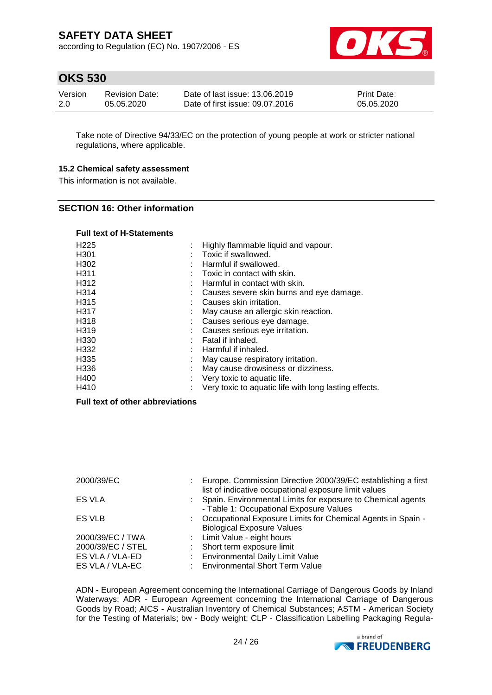according to Regulation (EC) No. 1907/2006 - ES



### **OKS 530**

| Version | <b>Revision Date:</b> | Date of last issue: 13.06.2019  | <b>Print Date:</b> |
|---------|-----------------------|---------------------------------|--------------------|
| -2.0    | 05.05.2020            | Date of first issue: 09.07.2016 | 05.05.2020         |

Take note of Directive 94/33/EC on the protection of young people at work or stricter national regulations, where applicable.

#### **15.2 Chemical safety assessment**

This information is not available.

#### **SECTION 16: Other information**

#### **Full text of H-Statements**

| H <sub>225</sub> | Highly flammable liquid and vapour.                   |
|------------------|-------------------------------------------------------|
| H <sub>301</sub> | Toxic if swallowed.                                   |
| H302             | Harmful if swallowed.                                 |
| H311             | Toxic in contact with skin.                           |
| H312             | Harmful in contact with skin.                         |
| H314             | Causes severe skin burns and eye damage.              |
| H315             | Causes skin irritation.                               |
| H317             | May cause an allergic skin reaction.                  |
| H318             | Causes serious eye damage.                            |
| H319             | Causes serious eye irritation.                        |
| H330             | Fatal if inhaled.                                     |
| H332             | Harmful if inhaled.                                   |
| H335             | May cause respiratory irritation.                     |
| H336             | May cause drowsiness or dizziness.                    |
| H400             | Very toxic to aquatic life.                           |
| H410             | Very toxic to aquatic life with long lasting effects. |

### **Full text of other abbreviations**

| 2000/39/EC        | ÷ | Europe. Commission Directive 2000/39/EC establishing a first<br>list of indicative occupational exposure limit values |
|-------------------|---|-----------------------------------------------------------------------------------------------------------------------|
| <b>ES VLA</b>     |   | : Spain. Environmental Limits for exposure to Chemical agents                                                         |
| ES VLB            |   | - Table 1: Occupational Exposure Values<br>: Occupational Exposure Limits for Chemical Agents in Spain -              |
| 2000/39/EC / TWA  |   | <b>Biological Exposure Values</b><br>: Limit Value - eight hours                                                      |
| 2000/39/EC / STEL |   | Short term exposure limit                                                                                             |
| ES VLA / VLA-ED   |   | <b>Environmental Daily Limit Value</b>                                                                                |
| ES VLA / VLA-EC   |   | <b>Environmental Short Term Value</b>                                                                                 |

ADN - European Agreement concerning the International Carriage of Dangerous Goods by Inland Waterways; ADR - European Agreement concerning the International Carriage of Dangerous Goods by Road; AICS - Australian Inventory of Chemical Substances; ASTM - American Society for the Testing of Materials; bw - Body weight; CLP - Classification Labelling Packaging Regula-

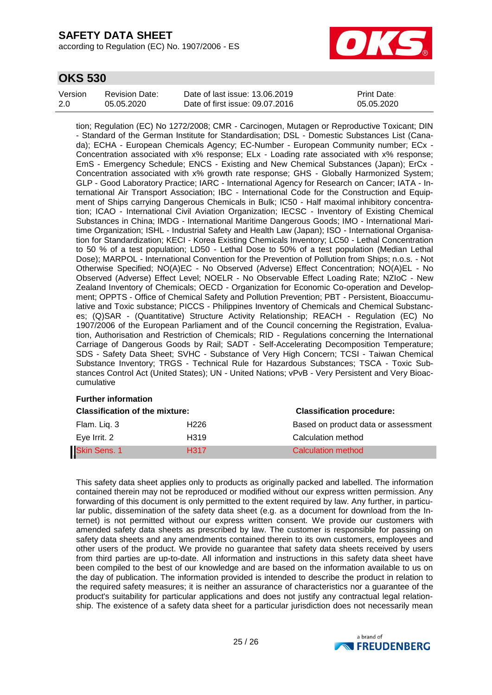according to Regulation (EC) No. 1907/2006 - ES



### **OKS 530**

| Version | Revision Date: | Date of last issue: 13.06.2019  | <b>Print Date:</b> |
|---------|----------------|---------------------------------|--------------------|
| 2.0     | 05.05.2020     | Date of first issue: 09.07.2016 | 05.05.2020         |

tion; Regulation (EC) No 1272/2008; CMR - Carcinogen, Mutagen or Reproductive Toxicant; DIN - Standard of the German Institute for Standardisation; DSL - Domestic Substances List (Canada); ECHA - European Chemicals Agency; EC-Number - European Community number; ECx - Concentration associated with x% response; ELx - Loading rate associated with x% response; EmS - Emergency Schedule; ENCS - Existing and New Chemical Substances (Japan); ErCx - Concentration associated with x% growth rate response; GHS - Globally Harmonized System; GLP - Good Laboratory Practice; IARC - International Agency for Research on Cancer; IATA - International Air Transport Association; IBC - International Code for the Construction and Equipment of Ships carrying Dangerous Chemicals in Bulk; IC50 - Half maximal inhibitory concentration; ICAO - International Civil Aviation Organization; IECSC - Inventory of Existing Chemical Substances in China; IMDG - International Maritime Dangerous Goods; IMO - International Maritime Organization; ISHL - Industrial Safety and Health Law (Japan); ISO - International Organisation for Standardization; KECI - Korea Existing Chemicals Inventory; LC50 - Lethal Concentration to 50 % of a test population; LD50 - Lethal Dose to 50% of a test population (Median Lethal Dose); MARPOL - International Convention for the Prevention of Pollution from Ships; n.o.s. - Not Otherwise Specified; NO(A)EC - No Observed (Adverse) Effect Concentration; NO(A)EL - No Observed (Adverse) Effect Level; NOELR - No Observable Effect Loading Rate; NZIoC - New Zealand Inventory of Chemicals; OECD - Organization for Economic Co-operation and Development; OPPTS - Office of Chemical Safety and Pollution Prevention; PBT - Persistent, Bioaccumulative and Toxic substance; PICCS - Philippines Inventory of Chemicals and Chemical Substances; (Q)SAR - (Quantitative) Structure Activity Relationship; REACH - Regulation (EC) No 1907/2006 of the European Parliament and of the Council concerning the Registration, Evaluation, Authorisation and Restriction of Chemicals; RID - Regulations concerning the International Carriage of Dangerous Goods by Rail; SADT - Self-Accelerating Decomposition Temperature; SDS - Safety Data Sheet; SVHC - Substance of Very High Concern; TCSI - Taiwan Chemical Substance Inventory; TRGS - Technical Rule for Hazardous Substances; TSCA - Toxic Substances Control Act (United States); UN - United Nations; vPvB - Very Persistent and Very Bioaccumulative

#### **Further information**

| <b>Classification of the mixture:</b> |                  | <b>Classification procedure:</b>    |  |
|---------------------------------------|------------------|-------------------------------------|--|
| Flam. Lig. 3                          | H226             | Based on product data or assessment |  |
| Eye Irrit. 2                          | H319             | Calculation method                  |  |
| <b>Skin Sens. 1</b>                   | H <sub>317</sub> | Calculation method                  |  |

This safety data sheet applies only to products as originally packed and labelled. The information contained therein may not be reproduced or modified without our express written permission. Any forwarding of this document is only permitted to the extent required by law. Any further, in particular public, dissemination of the safety data sheet (e.g. as a document for download from the Internet) is not permitted without our express written consent. We provide our customers with amended safety data sheets as prescribed by law. The customer is responsible for passing on safety data sheets and any amendments contained therein to its own customers, employees and other users of the product. We provide no guarantee that safety data sheets received by users from third parties are up-to-date. All information and instructions in this safety data sheet have been compiled to the best of our knowledge and are based on the information available to us on the day of publication. The information provided is intended to describe the product in relation to the required safety measures; it is neither an assurance of characteristics nor a guarantee of the product's suitability for particular applications and does not justify any contractual legal relationship. The existence of a safety data sheet for a particular jurisdiction does not necessarily mean